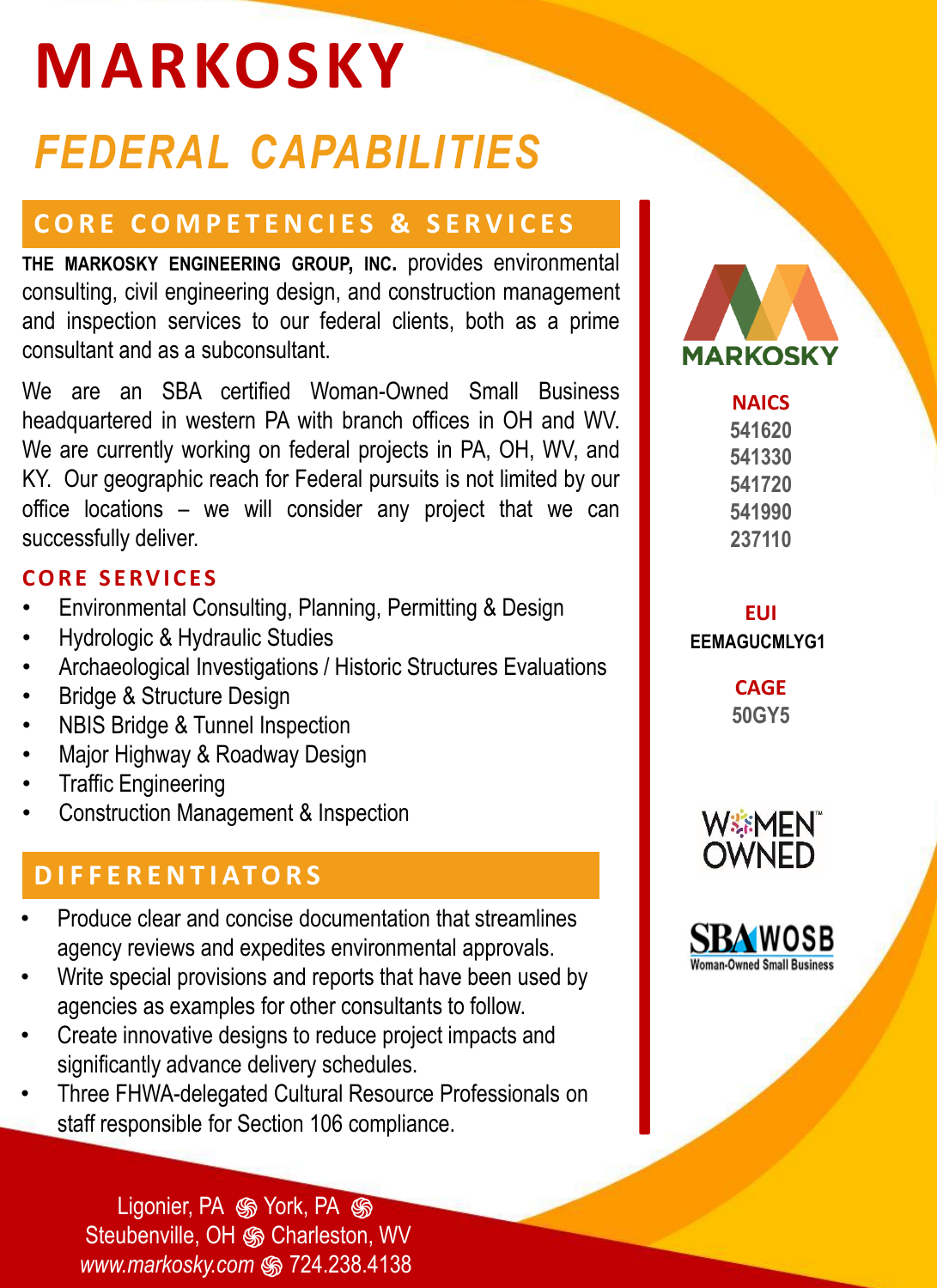# **MARKOSKY** *FEDERAL CAPABILITIES*

# **CORE COMPETENCIES & SERVICES**

**THE MARKOSKY ENGINEERING GROUP, INC.** provides environmental consulting, civil engineering design, and construction management and inspection services to our federal clients, both as a prime consultant and as a subconsultant.

We are an SBA certified Woman-Owned Small Business headquartered in western PA with branch offices in OH and WV. We are currently working on federal projects in PA, OH, WV, and KY. Our geographic reach for Federal pursuits is not limited by our office locations – we will consider any project that we can successfully deliver.

## **C O R E S E R V I C E S**

- Environmental Consulting, Planning, Permitting & Design
- Hydrologic & Hydraulic Studies
- Archaeological Investigations / Historic Structures Evaluations
- Bridge & Structure Design
- NBIS Bridge & Tunnel Inspection
- Major Highway & Roadway Design
- Traffic Engineering
- Construction Management & Inspection

# **D I F F E R E N T I AT O R S**

- Produce clear and concise documentation that streamlines agency reviews and expedites environmental approvals.
- Write special provisions and reports that have been used by agencies as examples for other consultants to follow.
- Create innovative designs to reduce project impacts and significantly advance delivery schedules.
- Three FHWA-delegated Cultural Resource Professionals on staff responsible for Section 106 compliance.

Ligonier, PA  $\circledast$  York, PA  $\circledast$ Steubenville, OH ֍ Charleston, WV *www.markosky.com* ֍ 724.238.4138



**EUI EEMAGUCMLYG1**

> **CAGE 50GY5**